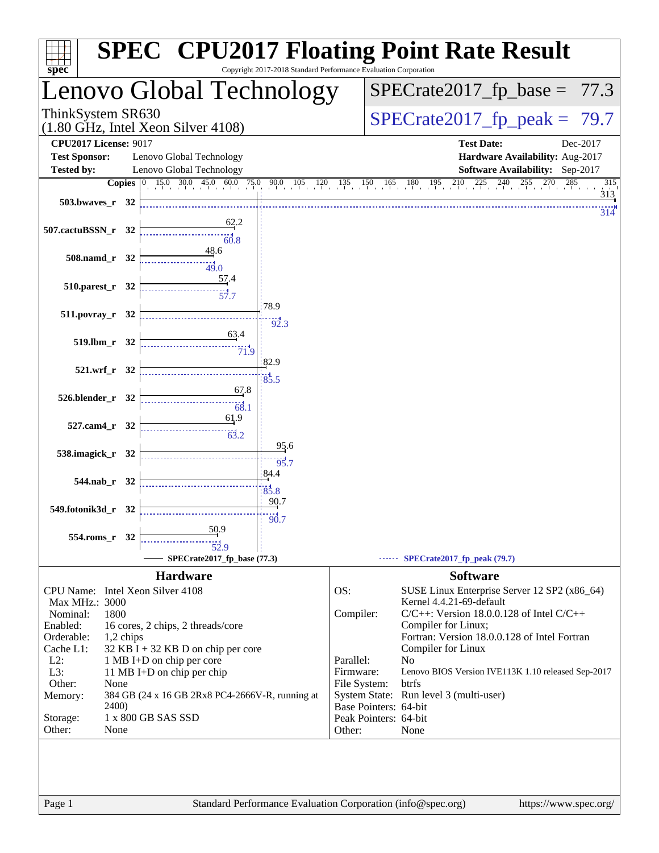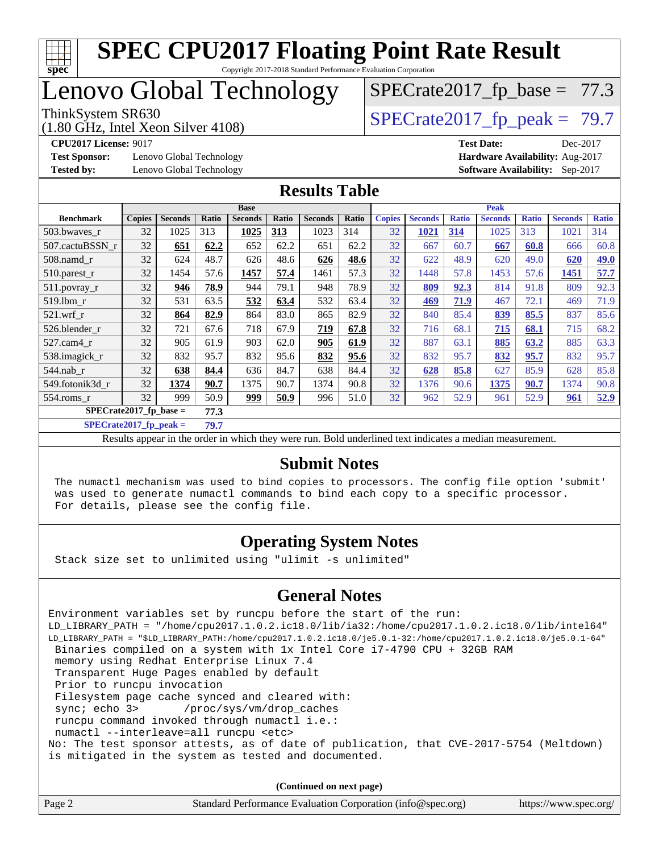

### Lenovo Global Technology

(1.80 GHz, Intel Xeon Silver 4108)

ThinkSystem SR630<br>(1.80 GHz, Intel Xeon Silver 4108)  $\vert$  [SPECrate2017\\_fp\\_peak =](http://www.spec.org/auto/cpu2017/Docs/result-fields.html#SPECrate2017fppeak) 79.7

 $SPECTate2017_fp\_base = 77.3$ 

**[Test Sponsor:](http://www.spec.org/auto/cpu2017/Docs/result-fields.html#TestSponsor)** Lenovo Global Technology **[Hardware Availability:](http://www.spec.org/auto/cpu2017/Docs/result-fields.html#HardwareAvailability)** Aug-2017

**[CPU2017 License:](http://www.spec.org/auto/cpu2017/Docs/result-fields.html#CPU2017License)** 9017 **[Test Date:](http://www.spec.org/auto/cpu2017/Docs/result-fields.html#TestDate)** Dec-2017 **[Tested by:](http://www.spec.org/auto/cpu2017/Docs/result-fields.html#Testedby)** Lenovo Global Technology **[Software Availability:](http://www.spec.org/auto/cpu2017/Docs/result-fields.html#SoftwareAvailability)** Sep-2017

#### **[Results Table](http://www.spec.org/auto/cpu2017/Docs/result-fields.html#ResultsTable)**

|                          | <b>Base</b>   |                |       |                |       | <b>Peak</b>    |       |               |                |              |                |              |                |              |
|--------------------------|---------------|----------------|-------|----------------|-------|----------------|-------|---------------|----------------|--------------|----------------|--------------|----------------|--------------|
| <b>Benchmark</b>         | <b>Copies</b> | <b>Seconds</b> | Ratio | <b>Seconds</b> | Ratio | <b>Seconds</b> | Ratio | <b>Copies</b> | <b>Seconds</b> | <b>Ratio</b> | <b>Seconds</b> | <b>Ratio</b> | <b>Seconds</b> | <b>Ratio</b> |
| 503.bwayes_r             | 32            | 1025           | 313   | 1025           | 313   | 1023           | 314   | 32            | 1021           | 314          | 1025           | 313          | 1021           | 314          |
| 507.cactuBSSN r          | 32            | 651            | 62.2  | 652            | 62.2  | 651            | 62.2  | 32            | 667            | 60.7         | 667            | 60.8         | 666            | 60.8         |
| $508$ .namd $r$          | 32            | 624            | 48.7  | 626            | 48.6  | 626            | 48.6  | 32            | 622            | 48.9         | 620            | 49.0         | 620            | 49.0         |
| $510.parest_r$           | 32            | 1454           | 57.6  | 1457           | 57.4  | 1461           | 57.3  | 32            | 1448           | 57.8         | 1453           | 57.6         | 1451           | 57.7         |
| 511.povray_r             | 32            | 946            | 78.9  | 944            | 79.1  | 948            | 78.9  | 32            | 809            | 92.3         | 814            | 91.8         | 809            | 92.3         |
| $519$ .lbm $r$           | 32            | 531            | 63.5  | 532            | 63.4  | 532            | 63.4  | 32            | 469            | 71.9         | 467            | 72.1         | 469            | 71.9         |
| $521$ .wrf r             | 32            | 864            | 82.9  | 864            | 83.0  | 865            | 82.9  | 32            | 840            | 85.4         | 839            | 85.5         | 837            | 85.6         |
| 526.blender r            | 32            | 721            | 67.6  | 718            | 67.9  | 719            | 67.8  | 32            | 716            | 68.1         | 715            | 68.1         | 715            | 68.2         |
| $527$ .cam $4r$          | 32            | 905            | 61.9  | 903            | 62.0  | 905            | 61.9  | 32            | 887            | 63.1         | 885            | 63.2         | 885            | 63.3         |
| 538.imagick_r            | 32            | 832            | 95.7  | 832            | 95.6  | 832            | 95.6  | 32            | 832            | 95.7         | 832            | 95.7         | 832            | 95.7         |
| $544$ .nab r             | 32            | 638            | 84.4  | 636            | 84.7  | 638            | 84.4  | 32            | 628            | 85.8         | 627            | 85.9         | 628            | 85.8         |
| 549.fotonik3d r          | 32            | 1374           | 90.7  | 1375           | 90.7  | 1374           | 90.8  | 32            | 1376           | 90.6         | 1375           | 90.7         | 1374           | 90.8         |
| $554$ .roms $r$          | 32            | 999            | 50.9  | <u>999</u>     | 50.9  | 996            | 51.0  | 32            | 962            | 52.9         | 961            | 52.9         | 961            | 52.9         |
| $SPECrate2017$ fp base = |               |                | 77.3  |                |       |                |       |               |                |              |                |              |                |              |

**[SPECrate2017\\_fp\\_peak =](http://www.spec.org/auto/cpu2017/Docs/result-fields.html#SPECrate2017fppeak) 79.7**

Results appear in the [order in which they were run.](http://www.spec.org/auto/cpu2017/Docs/result-fields.html#RunOrder) Bold underlined text [indicates a median measurement.](http://www.spec.org/auto/cpu2017/Docs/result-fields.html#Median)

#### **[Submit Notes](http://www.spec.org/auto/cpu2017/Docs/result-fields.html#SubmitNotes)**

 The numactl mechanism was used to bind copies to processors. The config file option 'submit' was used to generate numactl commands to bind each copy to a specific processor. For details, please see the config file.

#### **[Operating System Notes](http://www.spec.org/auto/cpu2017/Docs/result-fields.html#OperatingSystemNotes)**

Stack size set to unlimited using "ulimit -s unlimited"

#### **[General Notes](http://www.spec.org/auto/cpu2017/Docs/result-fields.html#GeneralNotes)**

Environment variables set by runcpu before the start of the run: LD\_LIBRARY\_PATH = "/home/cpu2017.1.0.2.ic18.0/lib/ia32:/home/cpu2017.1.0.2.ic18.0/lib/intel64" LD\_LIBRARY\_PATH = "\$LD\_LIBRARY\_PATH:/home/cpu2017.1.0.2.ic18.0/je5.0.1-32:/home/cpu2017.1.0.2.ic18.0/je5.0.1-64" Binaries compiled on a system with 1x Intel Core i7-4790 CPU + 32GB RAM memory using Redhat Enterprise Linux 7.4 Transparent Huge Pages enabled by default Prior to runcpu invocation Filesystem page cache synced and cleared with: sync; echo 3> /proc/sys/vm/drop\_caches runcpu command invoked through numactl i.e.: numactl --interleave=all runcpu <etc> No: The test sponsor attests, as of date of publication, that CVE-2017-5754 (Meltdown) is mitigated in the system as tested and documented.

**(Continued on next page)**

| Page 2 | Standard Performance Evaluation Corporation (info@spec.org) | https://www.spec.org/ |
|--------|-------------------------------------------------------------|-----------------------|
|--------|-------------------------------------------------------------|-----------------------|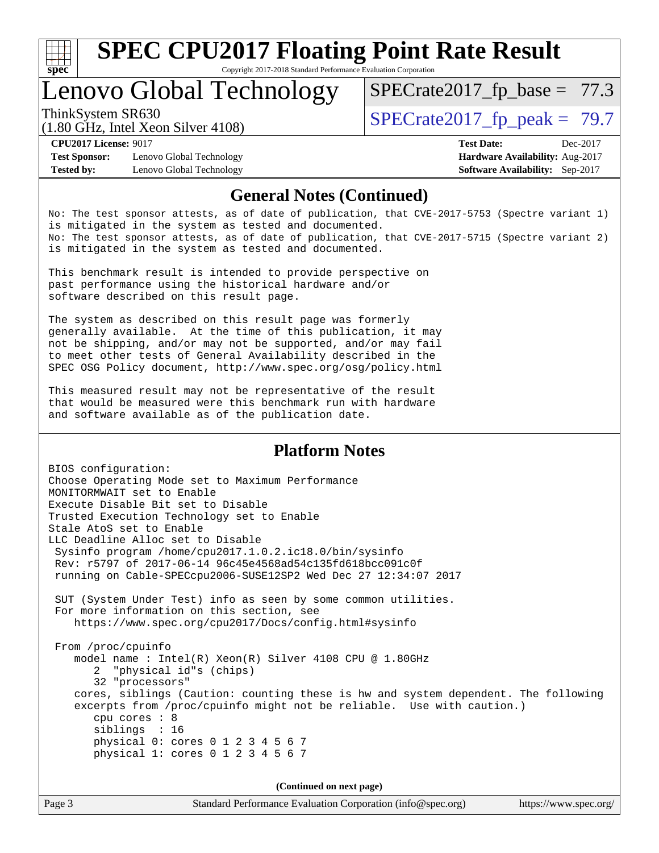

Copyright 2017-2018 Standard Performance Evaluation Corporation

### Lenovo Global Technology

ThinkSystem SR630<br>(1.80 GHz, Intel Year Silver 4108) [SPECrate2017\\_fp\\_peak =](http://www.spec.org/auto/cpu2017/Docs/result-fields.html#SPECrate2017fppeak) 79.7

 $SPECTate2017_fp\_base = 77.3$ 

(1.80 GHz, Intel Xeon Silver 4108)

**[Test Sponsor:](http://www.spec.org/auto/cpu2017/Docs/result-fields.html#TestSponsor)** Lenovo Global Technology **[Hardware Availability:](http://www.spec.org/auto/cpu2017/Docs/result-fields.html#HardwareAvailability)** Aug-2017 **[Tested by:](http://www.spec.org/auto/cpu2017/Docs/result-fields.html#Testedby)** Lenovo Global Technology **[Software Availability:](http://www.spec.org/auto/cpu2017/Docs/result-fields.html#SoftwareAvailability)** Sep-2017

**[CPU2017 License:](http://www.spec.org/auto/cpu2017/Docs/result-fields.html#CPU2017License)** 9017 **[Test Date:](http://www.spec.org/auto/cpu2017/Docs/result-fields.html#TestDate)** Dec-2017

#### **[General Notes \(Continued\)](http://www.spec.org/auto/cpu2017/Docs/result-fields.html#GeneralNotes)**

No: The test sponsor attests, as of date of publication, that CVE-2017-5753 (Spectre variant 1) is mitigated in the system as tested and documented. No: The test sponsor attests, as of date of publication, that CVE-2017-5715 (Spectre variant 2) is mitigated in the system as tested and documented.

This benchmark result is intended to provide perspective on past performance using the historical hardware and/or software described on this result page.

The system as described on this result page was formerly generally available. At the time of this publication, it may not be shipping, and/or may not be supported, and/or may fail to meet other tests of General Availability described in the SPEC OSG Policy document, <http://www.spec.org/osg/policy.html>

This measured result may not be representative of the result that would be measured were this benchmark run with hardware and software available as of the publication date.

#### **[Platform Notes](http://www.spec.org/auto/cpu2017/Docs/result-fields.html#PlatformNotes)**

BIOS configuration: Choose Operating Mode set to Maximum Performance MONITORMWAIT set to Enable Execute Disable Bit set to Disable Trusted Execution Technology set to Enable Stale AtoS set to Enable LLC Deadline Alloc set to Disable Sysinfo program /home/cpu2017.1.0.2.ic18.0/bin/sysinfo Rev: r5797 of 2017-06-14 96c45e4568ad54c135fd618bcc091c0f running on Cable-SPECcpu2006-SUSE12SP2 Wed Dec 27 12:34:07 2017 SUT (System Under Test) info as seen by some common utilities. For more information on this section, see <https://www.spec.org/cpu2017/Docs/config.html#sysinfo> From /proc/cpuinfo model name : Intel(R) Xeon(R) Silver 4108 CPU @ 1.80GHz 2 "physical id"s (chips) 32 "processors" cores, siblings (Caution: counting these is hw and system dependent. The following excerpts from /proc/cpuinfo might not be reliable. Use with caution.) cpu cores : 8 siblings : 16 physical 0: cores 0 1 2 3 4 5 6 7 physical 1: cores 0 1 2 3 4 5 6 7

**(Continued on next page)**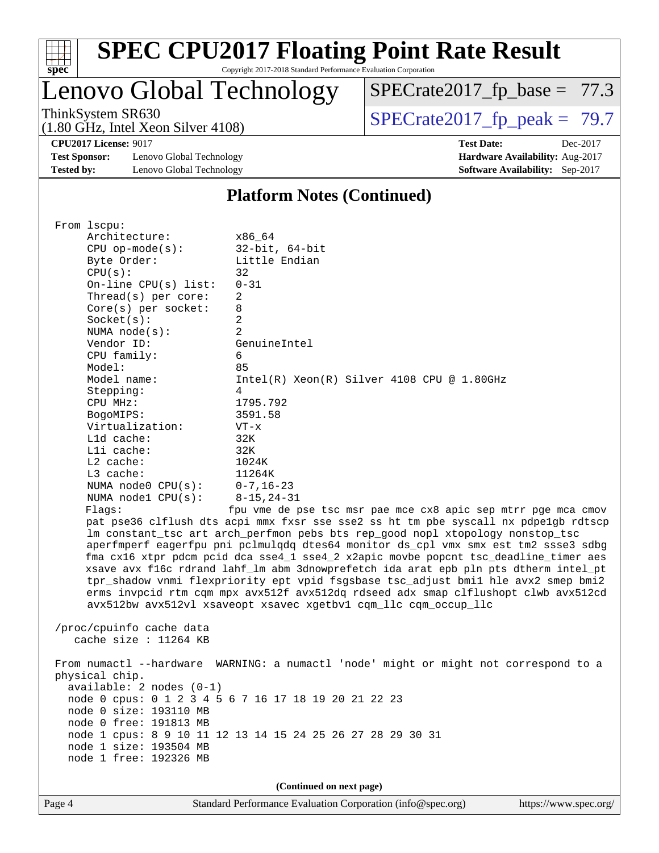

Copyright 2017-2018 Standard Performance Evaluation Corporation

### Lenovo Global Technology

(1.80 GHz, Intel Xeon Silver 4108)

ThinkSystem SR630<br>(1.80 GHz, Intel Xeon Silver 4108)  $\begin{array}{r} | \text{SPECrate2017\_fp\_peak} = 79.7 \end{array}$ 

 $SPECTate2017_fp\_base = 77.3$ 

**[Test Sponsor:](http://www.spec.org/auto/cpu2017/Docs/result-fields.html#TestSponsor)** Lenovo Global Technology **[Hardware Availability:](http://www.spec.org/auto/cpu2017/Docs/result-fields.html#HardwareAvailability)** Aug-2017 **[Tested by:](http://www.spec.org/auto/cpu2017/Docs/result-fields.html#Testedby)** Lenovo Global Technology **[Software Availability:](http://www.spec.org/auto/cpu2017/Docs/result-fields.html#SoftwareAvailability)** Sep-2017

**[CPU2017 License:](http://www.spec.org/auto/cpu2017/Docs/result-fields.html#CPU2017License)** 9017 **[Test Date:](http://www.spec.org/auto/cpu2017/Docs/result-fields.html#TestDate)** Dec-2017

#### **[Platform Notes \(Continued\)](http://www.spec.org/auto/cpu2017/Docs/result-fields.html#PlatformNotes)**

 From lscpu: Architecture: x86\_64 CPU op-mode(s): 32-bit, 64-bit Byte Order: Little Endian  $CPU(s):$  32 On-line CPU(s) list: 0-31 Thread(s) per core: 2 Core(s) per socket: 8 Socket(s): 2 NUMA node(s): 2 Vendor ID: GenuineIntel CPU family: 6 Model: 85 Model name:  $Intel(R)$  Xeon(R) Silver 4108 CPU @ 1.80GHz Stepping: 4 CPU MHz: 1795.792 BogoMIPS: 3591.58 Virtualization: VT-x L1d cache: 32K L1i cache: 32K L2 cache: 1024K L3 cache: 11264K NUMA node0 CPU(s): 0-7,16-23 NUMA node1 CPU(s): 8-15,24-31 Flags: fpu vme de pse tsc msr pae mce cx8 apic sep mtrr pge mca cmov pat pse36 clflush dts acpi mmx fxsr sse sse2 ss ht tm pbe syscall nx pdpe1gb rdtscp lm constant\_tsc art arch\_perfmon pebs bts rep\_good nopl xtopology nonstop\_tsc aperfmperf eagerfpu pni pclmulqdq dtes64 monitor ds\_cpl vmx smx est tm2 ssse3 sdbg fma cx16 xtpr pdcm pcid dca sse4\_1 sse4\_2 x2apic movbe popcnt tsc\_deadline\_timer aes xsave avx f16c rdrand lahf\_lm abm 3dnowprefetch ida arat epb pln pts dtherm intel\_pt tpr\_shadow vnmi flexpriority ept vpid fsgsbase tsc\_adjust bmi1 hle avx2 smep bmi2 erms invpcid rtm cqm mpx avx512f avx512dq rdseed adx smap clflushopt clwb avx512cd avx512bw avx512vl xsaveopt xsavec xgetbv1 cqm\_llc cqm\_occup\_llc /proc/cpuinfo cache data cache size : 11264 KB From numactl --hardware WARNING: a numactl 'node' might or might not correspond to a physical chip. available: 2 nodes (0-1) node 0 cpus: 0 1 2 3 4 5 6 7 16 17 18 19 20 21 22 23 node 0 size: 193110 MB node 0 free: 191813 MB node 1 cpus: 8 9 10 11 12 13 14 15 24 25 26 27 28 29 30 31 node 1 size: 193504 MB node 1 free: 192326 MB **(Continued on next page)**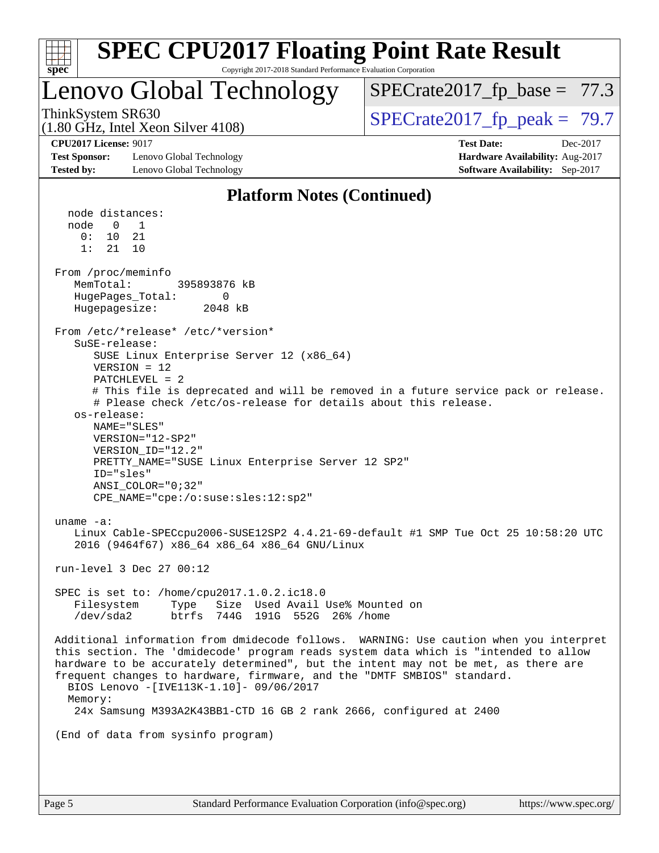| spec                                                                                                                                                                                                                                                                                                                                                                                                                                                                                                                                                                                                                                                                                                                                                                                                                                                                                                                                                                                              | <b>SPEC CPU2017 Floating Point Rate Result</b><br>Copyright 2017-2018 Standard Performance Evaluation Corporation                                                                                                                                                                                                                                                                                                                                                                                                                                         |
|---------------------------------------------------------------------------------------------------------------------------------------------------------------------------------------------------------------------------------------------------------------------------------------------------------------------------------------------------------------------------------------------------------------------------------------------------------------------------------------------------------------------------------------------------------------------------------------------------------------------------------------------------------------------------------------------------------------------------------------------------------------------------------------------------------------------------------------------------------------------------------------------------------------------------------------------------------------------------------------------------|-----------------------------------------------------------------------------------------------------------------------------------------------------------------------------------------------------------------------------------------------------------------------------------------------------------------------------------------------------------------------------------------------------------------------------------------------------------------------------------------------------------------------------------------------------------|
| Lenovo Global Technology                                                                                                                                                                                                                                                                                                                                                                                                                                                                                                                                                                                                                                                                                                                                                                                                                                                                                                                                                                          | $SPECrate2017_fp\_base = 77.3$                                                                                                                                                                                                                                                                                                                                                                                                                                                                                                                            |
| ThinkSystem SR630<br>$(1.80 \text{ GHz}, \text{Intel Xeon Silver } 4108)$                                                                                                                                                                                                                                                                                                                                                                                                                                                                                                                                                                                                                                                                                                                                                                                                                                                                                                                         | $SPECTate2017_fp\_peak = 79.7$                                                                                                                                                                                                                                                                                                                                                                                                                                                                                                                            |
| <b>CPU2017 License: 9017</b><br><b>Test Sponsor:</b><br>Lenovo Global Technology<br><b>Tested by:</b><br>Lenovo Global Technology                                                                                                                                                                                                                                                                                                                                                                                                                                                                                                                                                                                                                                                                                                                                                                                                                                                                 | <b>Test Date:</b><br>Dec-2017<br>Hardware Availability: Aug-2017<br>Software Availability: Sep-2017                                                                                                                                                                                                                                                                                                                                                                                                                                                       |
|                                                                                                                                                                                                                                                                                                                                                                                                                                                                                                                                                                                                                                                                                                                                                                                                                                                                                                                                                                                                   | <b>Platform Notes (Continued)</b>                                                                                                                                                                                                                                                                                                                                                                                                                                                                                                                         |
| node distances:<br>node<br>$\overline{0}$<br>1<br>0:<br>21<br>10<br>1:<br>21<br>10<br>From /proc/meminfo<br>MemTotal:<br>395893876 kB<br>HugePages_Total:<br>0<br>Hugepagesize:<br>2048 kB<br>From /etc/*release* /etc/*version*<br>SuSE-release:<br>SUSE Linux Enterprise Server 12 (x86_64)<br>$VERSION = 12$<br>$PATCHLEVEL = 2$<br>os-release:<br>NAME="SLES"<br>$VERSION = "12-SP2"$<br>VERSION ID="12.2"<br>PRETTY_NAME="SUSE Linux Enterprise Server 12 SP2"<br>ID="sles"<br>ANSI COLOR="0;32"<br>CPE_NAME="cpe:/o:suse:sles:12:sp2"<br>uname $-a$ :<br>2016 (9464f67) x86_64 x86_64 x86_64 GNU/Linux<br>run-level 3 Dec 27 00:12<br>SPEC is set to: /home/cpu2017.1.0.2.ic18.0<br>Filesystem<br>btrfs 744G 191G 552G 26% / home<br>/dev/sda2<br>frequent changes to hardware, firmware, and the "DMTF SMBIOS" standard.<br>BIOS Lenovo -[IVE113K-1.10]- 09/06/2017<br>Memory:<br>24x Samsung M393A2K43BB1-CTD 16 GB 2 rank 2666, configured at 2400<br>(End of data from sysinfo program) | # This file is deprecated and will be removed in a future service pack or release.<br># Please check /etc/os-release for details about this release.<br>Linux Cable-SPECcpu2006-SUSE12SP2 4.4.21-69-default #1 SMP Tue Oct 25 10:58:20 UTC<br>Type Size Used Avail Use% Mounted on<br>Additional information from dmidecode follows. WARNING: Use caution when you interpret<br>this section. The 'dmidecode' program reads system data which is "intended to allow<br>hardware to be accurately determined", but the intent may not be met, as there are |
|                                                                                                                                                                                                                                                                                                                                                                                                                                                                                                                                                                                                                                                                                                                                                                                                                                                                                                                                                                                                   |                                                                                                                                                                                                                                                                                                                                                                                                                                                                                                                                                           |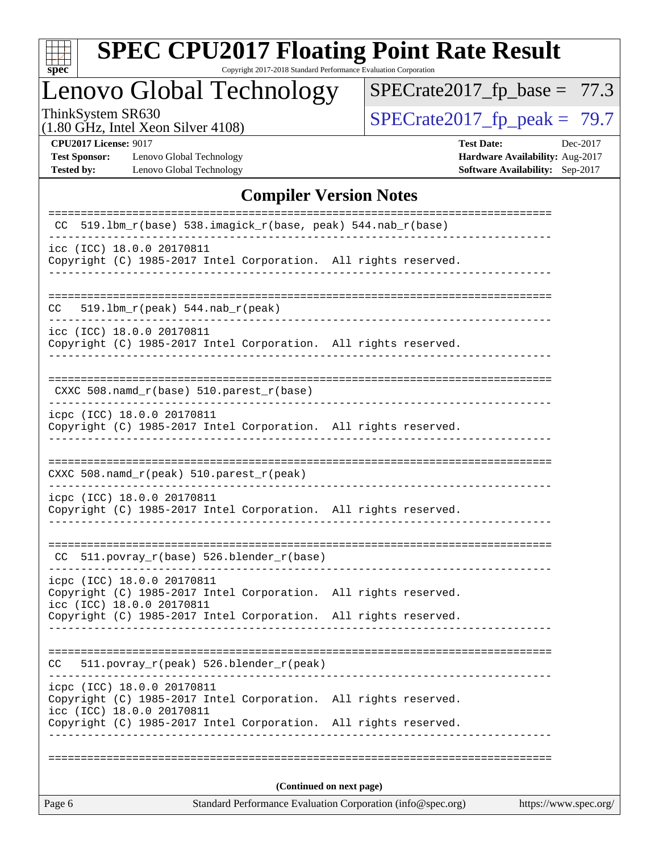

Copyright 2017-2018 Standard Performance Evaluation Corporation

### Lenovo Global Technology

 $SPECrate2017_fp\_base = 77.3$ 

(1.80 GHz, Intel Xeon Silver 4108)

ThinkSystem SR630<br>(1.80 GHz, Intel Xeon Silver 4108) [SPECrate2017\\_fp\\_peak =](http://www.spec.org/auto/cpu2017/Docs/result-fields.html#SPECrate2017fppeak)  $79.7$ 

**[Test Sponsor:](http://www.spec.org/auto/cpu2017/Docs/result-fields.html#TestSponsor)** Lenovo Global Technology **[Hardware Availability:](http://www.spec.org/auto/cpu2017/Docs/result-fields.html#HardwareAvailability)** Aug-2017 **[Tested by:](http://www.spec.org/auto/cpu2017/Docs/result-fields.html#Testedby)** Lenovo Global Technology **[Software Availability:](http://www.spec.org/auto/cpu2017/Docs/result-fields.html#SoftwareAvailability)** Sep-2017

**[CPU2017 License:](http://www.spec.org/auto/cpu2017/Docs/result-fields.html#CPU2017License)** 9017 **[Test Date:](http://www.spec.org/auto/cpu2017/Docs/result-fields.html#TestDate)** Dec-2017

#### **[Compiler Version Notes](http://www.spec.org/auto/cpu2017/Docs/result-fields.html#CompilerVersionNotes)**

| Page 6                                                  | https://www.spec.org/                                           |                          |  |  |
|---------------------------------------------------------|-----------------------------------------------------------------|--------------------------|--|--|
|                                                         |                                                                 | (Continued on next page) |  |  |
|                                                         |                                                                 |                          |  |  |
| icc (ICC) 18.0.0 20170811                               | Copyright (C) 1985-2017 Intel Corporation. All rights reserved. |                          |  |  |
| icpc (ICC) 18.0.0 20170811                              | Copyright (C) 1985-2017 Intel Corporation.                      | All rights reserved.     |  |  |
| CC.                                                     | 511.povray_r(peak) 526.blender_r(peak)                          |                          |  |  |
|                                                         | Copyright (C) 1985-2017 Intel Corporation. All rights reserved. |                          |  |  |
| icpc (ICC) 18.0.0 20170811<br>icc (ICC) 18.0.0 20170811 | Copyright (C) 1985-2017 Intel Corporation. All rights reserved. |                          |  |  |
| CC.                                                     | 511.povray_r(base) 526.blender_r(base)                          |                          |  |  |
| icpc (ICC) 18.0.0 20170811                              | Copyright (C) 1985-2017 Intel Corporation. All rights reserved. |                          |  |  |
|                                                         | CXXC 508.namd_r(peak) 510.parest_r(peak)                        |                          |  |  |
| icpc (ICC) 18.0.0 20170811                              | Copyright (C) 1985-2017 Intel Corporation. All rights reserved. |                          |  |  |
|                                                         | CXXC 508.namd_r(base) 510.parest_r(base)                        |                          |  |  |
| icc (ICC) 18.0.0 20170811                               | Copyright (C) 1985-2017 Intel Corporation. All rights reserved. |                          |  |  |
| CC.                                                     | $519.1bm_r(peak) 544.nab_r(peak)$                               |                          |  |  |
| icc (ICC) 18.0.0 20170811                               | Copyright (C) 1985-2017 Intel Corporation. All rights reserved. |                          |  |  |
|                                                         | CC 519.1bm_r(base) 538.imagick_r(base, peak) 544.nab_r(base)    |                          |  |  |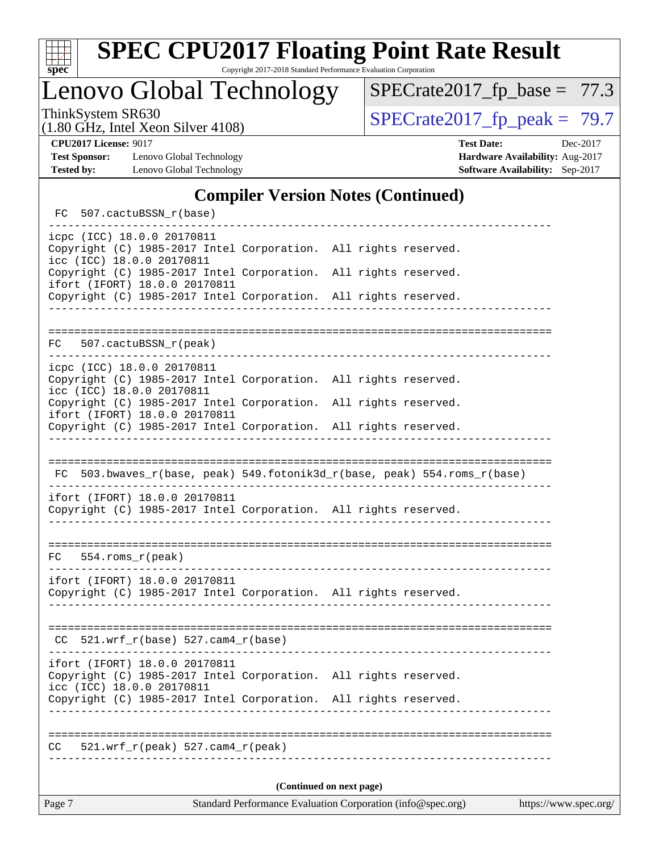

Lenovo Global Technology

ThinkSystem SR630<br>(1.80 GHz, Intel Year Silver 4108) [SPECrate2017\\_fp\\_peak =](http://www.spec.org/auto/cpu2017/Docs/result-fields.html#SPECrate2017fppeak) 79.7  $SPECrate2017_fp\_base = 77.3$ 

(1.80 GHz, Intel Xeon Silver 4108)

**[Test Sponsor:](http://www.spec.org/auto/cpu2017/Docs/result-fields.html#TestSponsor)** Lenovo Global Technology **[Hardware Availability:](http://www.spec.org/auto/cpu2017/Docs/result-fields.html#HardwareAvailability)** Aug-2017 **[Tested by:](http://www.spec.org/auto/cpu2017/Docs/result-fields.html#Testedby)** Lenovo Global Technology **[Software Availability:](http://www.spec.org/auto/cpu2017/Docs/result-fields.html#SoftwareAvailability)** Sep-2017

**[CPU2017 License:](http://www.spec.org/auto/cpu2017/Docs/result-fields.html#CPU2017License)** 9017 **[Test Date:](http://www.spec.org/auto/cpu2017/Docs/result-fields.html#TestDate)** Dec-2017

#### **[Compiler Version Notes \(Continued\)](http://www.spec.org/auto/cpu2017/Docs/result-fields.html#CompilerVersionNotes)**

FC 507.cactuBSSN r(base) ----------------------------------------------------------------------------- icpc (ICC) 18.0.0 20170811 Copyright (C) 1985-2017 Intel Corporation. All rights reserved. icc (ICC) 18.0.0 20170811 Copyright (C) 1985-2017 Intel Corporation. All rights reserved. ifort (IFORT) 18.0.0 20170811 Copyright (C) 1985-2017 Intel Corporation. All rights reserved. ------------------------------------------------------------------------------ ============================================================================== FC 507.cactuBSSN\_r(peak) ----------------------------------------------------------------------------- icpc (ICC) 18.0.0 20170811 Copyright (C) 1985-2017 Intel Corporation. All rights reserved. icc (ICC) 18.0.0 20170811 Copyright (C) 1985-2017 Intel Corporation. All rights reserved. ifort (IFORT) 18.0.0 20170811 Copyright (C) 1985-2017 Intel Corporation. All rights reserved. ------------------------------------------------------------------------------ ============================================================================== FC 503.bwaves\_r(base, peak) 549.fotonik3d\_r(base, peak) 554.roms\_r(base) ----------------------------------------------------------------------------- ifort (IFORT) 18.0.0 20170811 Copyright (C) 1985-2017 Intel Corporation. All rights reserved. ------------------------------------------------------------------------------ ============================================================================== FC 554.roms\_r(peak) ----------------------------------------------------------------------------- ifort (IFORT) 18.0.0 20170811 Copyright (C) 1985-2017 Intel Corporation. All rights reserved. ------------------------------------------------------------------------------ ============================================================================== CC 521.wrf\_r(base) 527.cam4\_r(base) ----------------------------------------------------------------------------- ifort (IFORT) 18.0.0 20170811 Copyright (C) 1985-2017 Intel Corporation. All rights reserved. icc (ICC) 18.0.0 20170811 Copyright (C) 1985-2017 Intel Corporation. All rights reserved. ------------------------------------------------------------------------------ ============================================================================== CC 521.wrf\_r(peak) 527.cam4\_r(peak) ------------------------------------------------------------------------------ **(Continued on next page)**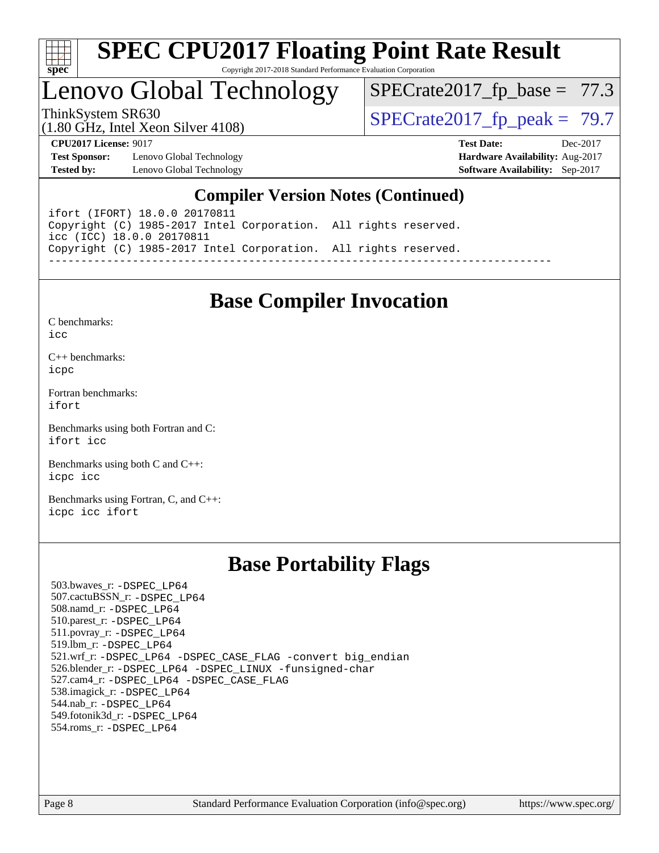

### Lenovo Global Technology

 $SPECrate2017_fp\_base = 77.3$ 

(1.80 GHz, Intel Xeon Silver 4108)

ThinkSystem SR630<br>(1.80 GHz, Intel Year Silver 4108) [SPECrate2017\\_fp\\_peak =](http://www.spec.org/auto/cpu2017/Docs/result-fields.html#SPECrate2017fppeak) 79.7

**[Test Sponsor:](http://www.spec.org/auto/cpu2017/Docs/result-fields.html#TestSponsor)** Lenovo Global Technology **[Hardware Availability:](http://www.spec.org/auto/cpu2017/Docs/result-fields.html#HardwareAvailability)** Aug-2017 **[Tested by:](http://www.spec.org/auto/cpu2017/Docs/result-fields.html#Testedby)** Lenovo Global Technology **[Software Availability:](http://www.spec.org/auto/cpu2017/Docs/result-fields.html#SoftwareAvailability)** Sep-2017

**[CPU2017 License:](http://www.spec.org/auto/cpu2017/Docs/result-fields.html#CPU2017License)** 9017 **[Test Date:](http://www.spec.org/auto/cpu2017/Docs/result-fields.html#TestDate)** Dec-2017

#### **[Compiler Version Notes \(Continued\)](http://www.spec.org/auto/cpu2017/Docs/result-fields.html#CompilerVersionNotes)**

ifort (IFORT) 18.0.0 20170811 Copyright (C) 1985-2017 Intel Corporation. All rights reserved. icc (ICC) 18.0.0 20170811 Copyright (C) 1985-2017 Intel Corporation. All rights reserved. ------------------------------------------------------------------------------

### **[Base Compiler Invocation](http://www.spec.org/auto/cpu2017/Docs/result-fields.html#BaseCompilerInvocation)**

[C benchmarks](http://www.spec.org/auto/cpu2017/Docs/result-fields.html#Cbenchmarks):  $i$ cc

[C++ benchmarks:](http://www.spec.org/auto/cpu2017/Docs/result-fields.html#CXXbenchmarks) [icpc](http://www.spec.org/cpu2017/results/res2018q1/cpu2017-20180105-02460.flags.html#user_CXXbase_intel_icpc_18.0_c510b6838c7f56d33e37e94d029a35b4a7bccf4766a728ee175e80a419847e808290a9b78be685c44ab727ea267ec2f070ec5dc83b407c0218cded6866a35d07)

[Fortran benchmarks](http://www.spec.org/auto/cpu2017/Docs/result-fields.html#Fortranbenchmarks): [ifort](http://www.spec.org/cpu2017/results/res2018q1/cpu2017-20180105-02460.flags.html#user_FCbase_intel_ifort_18.0_8111460550e3ca792625aed983ce982f94888b8b503583aa7ba2b8303487b4d8a21a13e7191a45c5fd58ff318f48f9492884d4413fa793fd88dd292cad7027ca)

[Benchmarks using both Fortran and C](http://www.spec.org/auto/cpu2017/Docs/result-fields.html#BenchmarksusingbothFortranandC): [ifort](http://www.spec.org/cpu2017/results/res2018q1/cpu2017-20180105-02460.flags.html#user_CC_FCbase_intel_ifort_18.0_8111460550e3ca792625aed983ce982f94888b8b503583aa7ba2b8303487b4d8a21a13e7191a45c5fd58ff318f48f9492884d4413fa793fd88dd292cad7027ca) [icc](http://www.spec.org/cpu2017/results/res2018q1/cpu2017-20180105-02460.flags.html#user_CC_FCbase_intel_icc_18.0_66fc1ee009f7361af1fbd72ca7dcefbb700085f36577c54f309893dd4ec40d12360134090235512931783d35fd58c0460139e722d5067c5574d8eaf2b3e37e92)

[Benchmarks using both C and C++](http://www.spec.org/auto/cpu2017/Docs/result-fields.html#BenchmarksusingbothCandCXX): [icpc](http://www.spec.org/cpu2017/results/res2018q1/cpu2017-20180105-02460.flags.html#user_CC_CXXbase_intel_icpc_18.0_c510b6838c7f56d33e37e94d029a35b4a7bccf4766a728ee175e80a419847e808290a9b78be685c44ab727ea267ec2f070ec5dc83b407c0218cded6866a35d07) [icc](http://www.spec.org/cpu2017/results/res2018q1/cpu2017-20180105-02460.flags.html#user_CC_CXXbase_intel_icc_18.0_66fc1ee009f7361af1fbd72ca7dcefbb700085f36577c54f309893dd4ec40d12360134090235512931783d35fd58c0460139e722d5067c5574d8eaf2b3e37e92)

[Benchmarks using Fortran, C, and C++:](http://www.spec.org/auto/cpu2017/Docs/result-fields.html#BenchmarksusingFortranCandCXX) [icpc](http://www.spec.org/cpu2017/results/res2018q1/cpu2017-20180105-02460.flags.html#user_CC_CXX_FCbase_intel_icpc_18.0_c510b6838c7f56d33e37e94d029a35b4a7bccf4766a728ee175e80a419847e808290a9b78be685c44ab727ea267ec2f070ec5dc83b407c0218cded6866a35d07) [icc](http://www.spec.org/cpu2017/results/res2018q1/cpu2017-20180105-02460.flags.html#user_CC_CXX_FCbase_intel_icc_18.0_66fc1ee009f7361af1fbd72ca7dcefbb700085f36577c54f309893dd4ec40d12360134090235512931783d35fd58c0460139e722d5067c5574d8eaf2b3e37e92) [ifort](http://www.spec.org/cpu2017/results/res2018q1/cpu2017-20180105-02460.flags.html#user_CC_CXX_FCbase_intel_ifort_18.0_8111460550e3ca792625aed983ce982f94888b8b503583aa7ba2b8303487b4d8a21a13e7191a45c5fd58ff318f48f9492884d4413fa793fd88dd292cad7027ca)

### **[Base Portability Flags](http://www.spec.org/auto/cpu2017/Docs/result-fields.html#BasePortabilityFlags)**

 503.bwaves\_r: [-DSPEC\\_LP64](http://www.spec.org/cpu2017/results/res2018q1/cpu2017-20180105-02460.flags.html#suite_basePORTABILITY503_bwaves_r_DSPEC_LP64) 507.cactuBSSN\_r: [-DSPEC\\_LP64](http://www.spec.org/cpu2017/results/res2018q1/cpu2017-20180105-02460.flags.html#suite_basePORTABILITY507_cactuBSSN_r_DSPEC_LP64) 508.namd\_r: [-DSPEC\\_LP64](http://www.spec.org/cpu2017/results/res2018q1/cpu2017-20180105-02460.flags.html#suite_basePORTABILITY508_namd_r_DSPEC_LP64) 510.parest\_r: [-DSPEC\\_LP64](http://www.spec.org/cpu2017/results/res2018q1/cpu2017-20180105-02460.flags.html#suite_basePORTABILITY510_parest_r_DSPEC_LP64) 511.povray\_r: [-DSPEC\\_LP64](http://www.spec.org/cpu2017/results/res2018q1/cpu2017-20180105-02460.flags.html#suite_basePORTABILITY511_povray_r_DSPEC_LP64) 519.lbm\_r: [-DSPEC\\_LP64](http://www.spec.org/cpu2017/results/res2018q1/cpu2017-20180105-02460.flags.html#suite_basePORTABILITY519_lbm_r_DSPEC_LP64) 521.wrf\_r: [-DSPEC\\_LP64](http://www.spec.org/cpu2017/results/res2018q1/cpu2017-20180105-02460.flags.html#suite_basePORTABILITY521_wrf_r_DSPEC_LP64) [-DSPEC\\_CASE\\_FLAG](http://www.spec.org/cpu2017/results/res2018q1/cpu2017-20180105-02460.flags.html#b521.wrf_r_baseCPORTABILITY_DSPEC_CASE_FLAG) [-convert big\\_endian](http://www.spec.org/cpu2017/results/res2018q1/cpu2017-20180105-02460.flags.html#user_baseFPORTABILITY521_wrf_r_convert_big_endian_c3194028bc08c63ac5d04de18c48ce6d347e4e562e8892b8bdbdc0214820426deb8554edfa529a3fb25a586e65a3d812c835984020483e7e73212c4d31a38223) 526.blender\_r: [-DSPEC\\_LP64](http://www.spec.org/cpu2017/results/res2018q1/cpu2017-20180105-02460.flags.html#suite_basePORTABILITY526_blender_r_DSPEC_LP64) [-DSPEC\\_LINUX](http://www.spec.org/cpu2017/results/res2018q1/cpu2017-20180105-02460.flags.html#b526.blender_r_baseCPORTABILITY_DSPEC_LINUX) [-funsigned-char](http://www.spec.org/cpu2017/results/res2018q1/cpu2017-20180105-02460.flags.html#user_baseCPORTABILITY526_blender_r_force_uchar_40c60f00ab013830e2dd6774aeded3ff59883ba5a1fc5fc14077f794d777847726e2a5858cbc7672e36e1b067e7e5c1d9a74f7176df07886a243d7cc18edfe67) 527.cam4\_r: [-DSPEC\\_LP64](http://www.spec.org/cpu2017/results/res2018q1/cpu2017-20180105-02460.flags.html#suite_basePORTABILITY527_cam4_r_DSPEC_LP64) [-DSPEC\\_CASE\\_FLAG](http://www.spec.org/cpu2017/results/res2018q1/cpu2017-20180105-02460.flags.html#b527.cam4_r_baseCPORTABILITY_DSPEC_CASE_FLAG) 538.imagick\_r: [-DSPEC\\_LP64](http://www.spec.org/cpu2017/results/res2018q1/cpu2017-20180105-02460.flags.html#suite_basePORTABILITY538_imagick_r_DSPEC_LP64) 544.nab\_r: [-DSPEC\\_LP64](http://www.spec.org/cpu2017/results/res2018q1/cpu2017-20180105-02460.flags.html#suite_basePORTABILITY544_nab_r_DSPEC_LP64) 549.fotonik3d\_r: [-DSPEC\\_LP64](http://www.spec.org/cpu2017/results/res2018q1/cpu2017-20180105-02460.flags.html#suite_basePORTABILITY549_fotonik3d_r_DSPEC_LP64) 554.roms\_r: [-DSPEC\\_LP64](http://www.spec.org/cpu2017/results/res2018q1/cpu2017-20180105-02460.flags.html#suite_basePORTABILITY554_roms_r_DSPEC_LP64)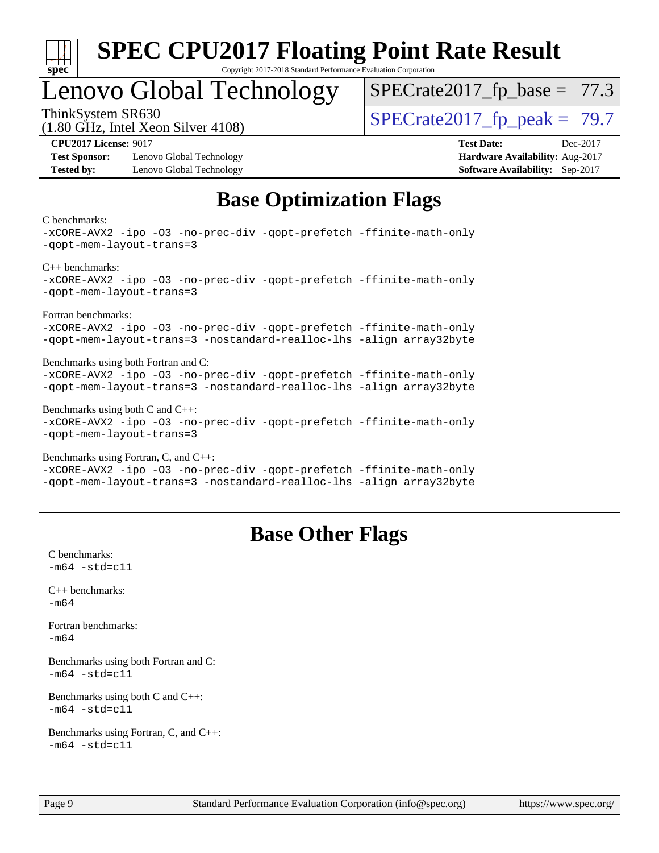

### Lenovo Global Technology

 $SPECrate2017_fp\_base = 77.3$ 

(1.80 GHz, Intel Xeon Silver 4108) ThinkSystem SR630<br>(1.80 GHz, Intel Year Silver 4108) [SPECrate2017\\_fp\\_peak =](http://www.spec.org/auto/cpu2017/Docs/result-fields.html#SPECrate2017fppeak) 79.7

**[Test Sponsor:](http://www.spec.org/auto/cpu2017/Docs/result-fields.html#TestSponsor)** Lenovo Global Technology **[Hardware Availability:](http://www.spec.org/auto/cpu2017/Docs/result-fields.html#HardwareAvailability)** Aug-2017 **[Tested by:](http://www.spec.org/auto/cpu2017/Docs/result-fields.html#Testedby)** Lenovo Global Technology **[Software Availability:](http://www.spec.org/auto/cpu2017/Docs/result-fields.html#SoftwareAvailability)** Sep-2017

**[CPU2017 License:](http://www.spec.org/auto/cpu2017/Docs/result-fields.html#CPU2017License)** 9017 **[Test Date:](http://www.spec.org/auto/cpu2017/Docs/result-fields.html#TestDate)** Dec-2017

### **[Base Optimization Flags](http://www.spec.org/auto/cpu2017/Docs/result-fields.html#BaseOptimizationFlags)**

[C benchmarks:](http://www.spec.org/auto/cpu2017/Docs/result-fields.html#Cbenchmarks)

[-xCORE-AVX2](http://www.spec.org/cpu2017/results/res2018q1/cpu2017-20180105-02460.flags.html#user_CCbase_f-xCORE-AVX2) [-ipo](http://www.spec.org/cpu2017/results/res2018q1/cpu2017-20180105-02460.flags.html#user_CCbase_f-ipo) [-O3](http://www.spec.org/cpu2017/results/res2018q1/cpu2017-20180105-02460.flags.html#user_CCbase_f-O3) [-no-prec-div](http://www.spec.org/cpu2017/results/res2018q1/cpu2017-20180105-02460.flags.html#user_CCbase_f-no-prec-div) [-qopt-prefetch](http://www.spec.org/cpu2017/results/res2018q1/cpu2017-20180105-02460.flags.html#user_CCbase_f-qopt-prefetch) [-ffinite-math-only](http://www.spec.org/cpu2017/results/res2018q1/cpu2017-20180105-02460.flags.html#user_CCbase_f_finite_math_only_cb91587bd2077682c4b38af759c288ed7c732db004271a9512da14a4f8007909a5f1427ecbf1a0fb78ff2a814402c6114ac565ca162485bbcae155b5e4258871) [-qopt-mem-layout-trans=3](http://www.spec.org/cpu2017/results/res2018q1/cpu2017-20180105-02460.flags.html#user_CCbase_f-qopt-mem-layout-trans_de80db37974c74b1f0e20d883f0b675c88c3b01e9d123adea9b28688d64333345fb62bc4a798493513fdb68f60282f9a726aa07f478b2f7113531aecce732043) [C++ benchmarks](http://www.spec.org/auto/cpu2017/Docs/result-fields.html#CXXbenchmarks): [-xCORE-AVX2](http://www.spec.org/cpu2017/results/res2018q1/cpu2017-20180105-02460.flags.html#user_CXXbase_f-xCORE-AVX2) [-ipo](http://www.spec.org/cpu2017/results/res2018q1/cpu2017-20180105-02460.flags.html#user_CXXbase_f-ipo) [-O3](http://www.spec.org/cpu2017/results/res2018q1/cpu2017-20180105-02460.flags.html#user_CXXbase_f-O3) [-no-prec-div](http://www.spec.org/cpu2017/results/res2018q1/cpu2017-20180105-02460.flags.html#user_CXXbase_f-no-prec-div) [-qopt-prefetch](http://www.spec.org/cpu2017/results/res2018q1/cpu2017-20180105-02460.flags.html#user_CXXbase_f-qopt-prefetch) [-ffinite-math-only](http://www.spec.org/cpu2017/results/res2018q1/cpu2017-20180105-02460.flags.html#user_CXXbase_f_finite_math_only_cb91587bd2077682c4b38af759c288ed7c732db004271a9512da14a4f8007909a5f1427ecbf1a0fb78ff2a814402c6114ac565ca162485bbcae155b5e4258871) [-qopt-mem-layout-trans=3](http://www.spec.org/cpu2017/results/res2018q1/cpu2017-20180105-02460.flags.html#user_CXXbase_f-qopt-mem-layout-trans_de80db37974c74b1f0e20d883f0b675c88c3b01e9d123adea9b28688d64333345fb62bc4a798493513fdb68f60282f9a726aa07f478b2f7113531aecce732043) [Fortran benchmarks:](http://www.spec.org/auto/cpu2017/Docs/result-fields.html#Fortranbenchmarks) [-xCORE-AVX2](http://www.spec.org/cpu2017/results/res2018q1/cpu2017-20180105-02460.flags.html#user_FCbase_f-xCORE-AVX2) [-ipo](http://www.spec.org/cpu2017/results/res2018q1/cpu2017-20180105-02460.flags.html#user_FCbase_f-ipo) [-O3](http://www.spec.org/cpu2017/results/res2018q1/cpu2017-20180105-02460.flags.html#user_FCbase_f-O3) [-no-prec-div](http://www.spec.org/cpu2017/results/res2018q1/cpu2017-20180105-02460.flags.html#user_FCbase_f-no-prec-div) [-qopt-prefetch](http://www.spec.org/cpu2017/results/res2018q1/cpu2017-20180105-02460.flags.html#user_FCbase_f-qopt-prefetch) [-ffinite-math-only](http://www.spec.org/cpu2017/results/res2018q1/cpu2017-20180105-02460.flags.html#user_FCbase_f_finite_math_only_cb91587bd2077682c4b38af759c288ed7c732db004271a9512da14a4f8007909a5f1427ecbf1a0fb78ff2a814402c6114ac565ca162485bbcae155b5e4258871) [-qopt-mem-layout-trans=3](http://www.spec.org/cpu2017/results/res2018q1/cpu2017-20180105-02460.flags.html#user_FCbase_f-qopt-mem-layout-trans_de80db37974c74b1f0e20d883f0b675c88c3b01e9d123adea9b28688d64333345fb62bc4a798493513fdb68f60282f9a726aa07f478b2f7113531aecce732043) [-nostandard-realloc-lhs](http://www.spec.org/cpu2017/results/res2018q1/cpu2017-20180105-02460.flags.html#user_FCbase_f_2003_std_realloc_82b4557e90729c0f113870c07e44d33d6f5a304b4f63d4c15d2d0f1fab99f5daaed73bdb9275d9ae411527f28b936061aa8b9c8f2d63842963b95c9dd6426b8a) [-align array32byte](http://www.spec.org/cpu2017/results/res2018q1/cpu2017-20180105-02460.flags.html#user_FCbase_align_array32byte_b982fe038af199962ba9a80c053b8342c548c85b40b8e86eb3cc33dee0d7986a4af373ac2d51c3f7cf710a18d62fdce2948f201cd044323541f22fc0fffc51b6) [Benchmarks using both Fortran and C:](http://www.spec.org/auto/cpu2017/Docs/result-fields.html#BenchmarksusingbothFortranandC) [-xCORE-AVX2](http://www.spec.org/cpu2017/results/res2018q1/cpu2017-20180105-02460.flags.html#user_CC_FCbase_f-xCORE-AVX2) [-ipo](http://www.spec.org/cpu2017/results/res2018q1/cpu2017-20180105-02460.flags.html#user_CC_FCbase_f-ipo) [-O3](http://www.spec.org/cpu2017/results/res2018q1/cpu2017-20180105-02460.flags.html#user_CC_FCbase_f-O3) [-no-prec-div](http://www.spec.org/cpu2017/results/res2018q1/cpu2017-20180105-02460.flags.html#user_CC_FCbase_f-no-prec-div) [-qopt-prefetch](http://www.spec.org/cpu2017/results/res2018q1/cpu2017-20180105-02460.flags.html#user_CC_FCbase_f-qopt-prefetch) [-ffinite-math-only](http://www.spec.org/cpu2017/results/res2018q1/cpu2017-20180105-02460.flags.html#user_CC_FCbase_f_finite_math_only_cb91587bd2077682c4b38af759c288ed7c732db004271a9512da14a4f8007909a5f1427ecbf1a0fb78ff2a814402c6114ac565ca162485bbcae155b5e4258871) [-qopt-mem-layout-trans=3](http://www.spec.org/cpu2017/results/res2018q1/cpu2017-20180105-02460.flags.html#user_CC_FCbase_f-qopt-mem-layout-trans_de80db37974c74b1f0e20d883f0b675c88c3b01e9d123adea9b28688d64333345fb62bc4a798493513fdb68f60282f9a726aa07f478b2f7113531aecce732043) [-nostandard-realloc-lhs](http://www.spec.org/cpu2017/results/res2018q1/cpu2017-20180105-02460.flags.html#user_CC_FCbase_f_2003_std_realloc_82b4557e90729c0f113870c07e44d33d6f5a304b4f63d4c15d2d0f1fab99f5daaed73bdb9275d9ae411527f28b936061aa8b9c8f2d63842963b95c9dd6426b8a) [-align array32byte](http://www.spec.org/cpu2017/results/res2018q1/cpu2017-20180105-02460.flags.html#user_CC_FCbase_align_array32byte_b982fe038af199962ba9a80c053b8342c548c85b40b8e86eb3cc33dee0d7986a4af373ac2d51c3f7cf710a18d62fdce2948f201cd044323541f22fc0fffc51b6) [Benchmarks using both C and C++](http://www.spec.org/auto/cpu2017/Docs/result-fields.html#BenchmarksusingbothCandCXX): [-xCORE-AVX2](http://www.spec.org/cpu2017/results/res2018q1/cpu2017-20180105-02460.flags.html#user_CC_CXXbase_f-xCORE-AVX2) [-ipo](http://www.spec.org/cpu2017/results/res2018q1/cpu2017-20180105-02460.flags.html#user_CC_CXXbase_f-ipo) [-O3](http://www.spec.org/cpu2017/results/res2018q1/cpu2017-20180105-02460.flags.html#user_CC_CXXbase_f-O3) [-no-prec-div](http://www.spec.org/cpu2017/results/res2018q1/cpu2017-20180105-02460.flags.html#user_CC_CXXbase_f-no-prec-div) [-qopt-prefetch](http://www.spec.org/cpu2017/results/res2018q1/cpu2017-20180105-02460.flags.html#user_CC_CXXbase_f-qopt-prefetch) [-ffinite-math-only](http://www.spec.org/cpu2017/results/res2018q1/cpu2017-20180105-02460.flags.html#user_CC_CXXbase_f_finite_math_only_cb91587bd2077682c4b38af759c288ed7c732db004271a9512da14a4f8007909a5f1427ecbf1a0fb78ff2a814402c6114ac565ca162485bbcae155b5e4258871) [-qopt-mem-layout-trans=3](http://www.spec.org/cpu2017/results/res2018q1/cpu2017-20180105-02460.flags.html#user_CC_CXXbase_f-qopt-mem-layout-trans_de80db37974c74b1f0e20d883f0b675c88c3b01e9d123adea9b28688d64333345fb62bc4a798493513fdb68f60282f9a726aa07f478b2f7113531aecce732043) [Benchmarks using Fortran, C, and C++](http://www.spec.org/auto/cpu2017/Docs/result-fields.html#BenchmarksusingFortranCandCXX): [-xCORE-AVX2](http://www.spec.org/cpu2017/results/res2018q1/cpu2017-20180105-02460.flags.html#user_CC_CXX_FCbase_f-xCORE-AVX2) [-ipo](http://www.spec.org/cpu2017/results/res2018q1/cpu2017-20180105-02460.flags.html#user_CC_CXX_FCbase_f-ipo) [-O3](http://www.spec.org/cpu2017/results/res2018q1/cpu2017-20180105-02460.flags.html#user_CC_CXX_FCbase_f-O3) [-no-prec-div](http://www.spec.org/cpu2017/results/res2018q1/cpu2017-20180105-02460.flags.html#user_CC_CXX_FCbase_f-no-prec-div) [-qopt-prefetch](http://www.spec.org/cpu2017/results/res2018q1/cpu2017-20180105-02460.flags.html#user_CC_CXX_FCbase_f-qopt-prefetch) [-ffinite-math-only](http://www.spec.org/cpu2017/results/res2018q1/cpu2017-20180105-02460.flags.html#user_CC_CXX_FCbase_f_finite_math_only_cb91587bd2077682c4b38af759c288ed7c732db004271a9512da14a4f8007909a5f1427ecbf1a0fb78ff2a814402c6114ac565ca162485bbcae155b5e4258871) [-qopt-mem-layout-trans=3](http://www.spec.org/cpu2017/results/res2018q1/cpu2017-20180105-02460.flags.html#user_CC_CXX_FCbase_f-qopt-mem-layout-trans_de80db37974c74b1f0e20d883f0b675c88c3b01e9d123adea9b28688d64333345fb62bc4a798493513fdb68f60282f9a726aa07f478b2f7113531aecce732043) [-nostandard-realloc-lhs](http://www.spec.org/cpu2017/results/res2018q1/cpu2017-20180105-02460.flags.html#user_CC_CXX_FCbase_f_2003_std_realloc_82b4557e90729c0f113870c07e44d33d6f5a304b4f63d4c15d2d0f1fab99f5daaed73bdb9275d9ae411527f28b936061aa8b9c8f2d63842963b95c9dd6426b8a) [-align array32byte](http://www.spec.org/cpu2017/results/res2018q1/cpu2017-20180105-02460.flags.html#user_CC_CXX_FCbase_align_array32byte_b982fe038af199962ba9a80c053b8342c548c85b40b8e86eb3cc33dee0d7986a4af373ac2d51c3f7cf710a18d62fdce2948f201cd044323541f22fc0fffc51b6)

### **[Base Other Flags](http://www.spec.org/auto/cpu2017/Docs/result-fields.html#BaseOtherFlags)**

[C benchmarks](http://www.spec.org/auto/cpu2017/Docs/result-fields.html#Cbenchmarks):  $-m64 - std = c11$  $-m64 - std = c11$ [C++ benchmarks:](http://www.spec.org/auto/cpu2017/Docs/result-fields.html#CXXbenchmarks) [-m64](http://www.spec.org/cpu2017/results/res2018q1/cpu2017-20180105-02460.flags.html#user_CXXbase_intel_intel64_18.0_af43caccfc8ded86e7699f2159af6efc7655f51387b94da716254467f3c01020a5059329e2569e4053f409e7c9202a7efc638f7a6d1ffb3f52dea4a3e31d82ab) [Fortran benchmarks](http://www.spec.org/auto/cpu2017/Docs/result-fields.html#Fortranbenchmarks): [-m64](http://www.spec.org/cpu2017/results/res2018q1/cpu2017-20180105-02460.flags.html#user_FCbase_intel_intel64_18.0_af43caccfc8ded86e7699f2159af6efc7655f51387b94da716254467f3c01020a5059329e2569e4053f409e7c9202a7efc638f7a6d1ffb3f52dea4a3e31d82ab) [Benchmarks using both Fortran and C](http://www.spec.org/auto/cpu2017/Docs/result-fields.html#BenchmarksusingbothFortranandC):  $-m64$   $-std=cl1$ [Benchmarks using both C and C++](http://www.spec.org/auto/cpu2017/Docs/result-fields.html#BenchmarksusingbothCandCXX):  $-m64 - std= c11$  $-m64 - std= c11$ [Benchmarks using Fortran, C, and C++:](http://www.spec.org/auto/cpu2017/Docs/result-fields.html#BenchmarksusingFortranCandCXX)  $-m64 - std = c11$  $-m64 - std = c11$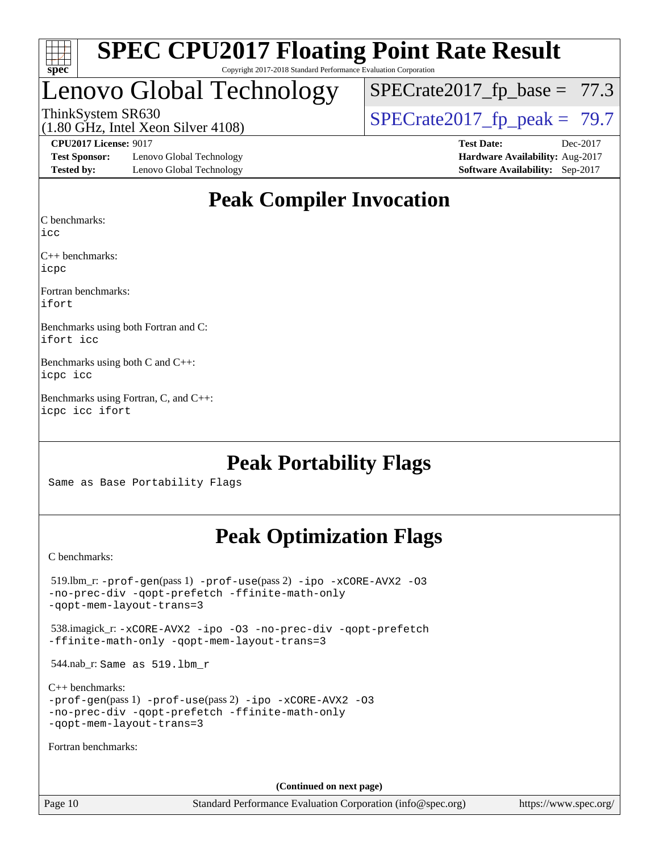

### Lenovo Global Technology

 $SPECTate2017_fp\_base = 77.3$ 

(1.80 GHz, Intel Xeon Silver 4108)

ThinkSystem SR630<br>(1.80 GHz, Intel Xeon Silver 4108)  $\begin{array}{r} | \text{SPECrate2017\_fp\_peak} = 79.7 \end{array}$ 

**[Test Sponsor:](http://www.spec.org/auto/cpu2017/Docs/result-fields.html#TestSponsor)** Lenovo Global Technology **[Hardware Availability:](http://www.spec.org/auto/cpu2017/Docs/result-fields.html#HardwareAvailability)** Aug-2017 **[Tested by:](http://www.spec.org/auto/cpu2017/Docs/result-fields.html#Testedby)** Lenovo Global Technology **[Software Availability:](http://www.spec.org/auto/cpu2017/Docs/result-fields.html#SoftwareAvailability)** Sep-2017

**[CPU2017 License:](http://www.spec.org/auto/cpu2017/Docs/result-fields.html#CPU2017License)** 9017 **[Test Date:](http://www.spec.org/auto/cpu2017/Docs/result-fields.html#TestDate)** Dec-2017

### **[Peak Compiler Invocation](http://www.spec.org/auto/cpu2017/Docs/result-fields.html#PeakCompilerInvocation)**

[C benchmarks](http://www.spec.org/auto/cpu2017/Docs/result-fields.html#Cbenchmarks):

[icc](http://www.spec.org/cpu2017/results/res2018q1/cpu2017-20180105-02460.flags.html#user_CCpeak_intel_icc_18.0_66fc1ee009f7361af1fbd72ca7dcefbb700085f36577c54f309893dd4ec40d12360134090235512931783d35fd58c0460139e722d5067c5574d8eaf2b3e37e92)

[C++ benchmarks:](http://www.spec.org/auto/cpu2017/Docs/result-fields.html#CXXbenchmarks) [icpc](http://www.spec.org/cpu2017/results/res2018q1/cpu2017-20180105-02460.flags.html#user_CXXpeak_intel_icpc_18.0_c510b6838c7f56d33e37e94d029a35b4a7bccf4766a728ee175e80a419847e808290a9b78be685c44ab727ea267ec2f070ec5dc83b407c0218cded6866a35d07)

[Fortran benchmarks](http://www.spec.org/auto/cpu2017/Docs/result-fields.html#Fortranbenchmarks): [ifort](http://www.spec.org/cpu2017/results/res2018q1/cpu2017-20180105-02460.flags.html#user_FCpeak_intel_ifort_18.0_8111460550e3ca792625aed983ce982f94888b8b503583aa7ba2b8303487b4d8a21a13e7191a45c5fd58ff318f48f9492884d4413fa793fd88dd292cad7027ca)

[Benchmarks using both Fortran and C](http://www.spec.org/auto/cpu2017/Docs/result-fields.html#BenchmarksusingbothFortranandC): [ifort](http://www.spec.org/cpu2017/results/res2018q1/cpu2017-20180105-02460.flags.html#user_CC_FCpeak_intel_ifort_18.0_8111460550e3ca792625aed983ce982f94888b8b503583aa7ba2b8303487b4d8a21a13e7191a45c5fd58ff318f48f9492884d4413fa793fd88dd292cad7027ca) [icc](http://www.spec.org/cpu2017/results/res2018q1/cpu2017-20180105-02460.flags.html#user_CC_FCpeak_intel_icc_18.0_66fc1ee009f7361af1fbd72ca7dcefbb700085f36577c54f309893dd4ec40d12360134090235512931783d35fd58c0460139e722d5067c5574d8eaf2b3e37e92)

[Benchmarks using both C and C++:](http://www.spec.org/auto/cpu2017/Docs/result-fields.html#BenchmarksusingbothCandCXX) [icpc](http://www.spec.org/cpu2017/results/res2018q1/cpu2017-20180105-02460.flags.html#user_CC_CXXpeak_intel_icpc_18.0_c510b6838c7f56d33e37e94d029a35b4a7bccf4766a728ee175e80a419847e808290a9b78be685c44ab727ea267ec2f070ec5dc83b407c0218cded6866a35d07) [icc](http://www.spec.org/cpu2017/results/res2018q1/cpu2017-20180105-02460.flags.html#user_CC_CXXpeak_intel_icc_18.0_66fc1ee009f7361af1fbd72ca7dcefbb700085f36577c54f309893dd4ec40d12360134090235512931783d35fd58c0460139e722d5067c5574d8eaf2b3e37e92)

[Benchmarks using Fortran, C, and C++](http://www.spec.org/auto/cpu2017/Docs/result-fields.html#BenchmarksusingFortranCandCXX): [icpc](http://www.spec.org/cpu2017/results/res2018q1/cpu2017-20180105-02460.flags.html#user_CC_CXX_FCpeak_intel_icpc_18.0_c510b6838c7f56d33e37e94d029a35b4a7bccf4766a728ee175e80a419847e808290a9b78be685c44ab727ea267ec2f070ec5dc83b407c0218cded6866a35d07) [icc](http://www.spec.org/cpu2017/results/res2018q1/cpu2017-20180105-02460.flags.html#user_CC_CXX_FCpeak_intel_icc_18.0_66fc1ee009f7361af1fbd72ca7dcefbb700085f36577c54f309893dd4ec40d12360134090235512931783d35fd58c0460139e722d5067c5574d8eaf2b3e37e92) [ifort](http://www.spec.org/cpu2017/results/res2018q1/cpu2017-20180105-02460.flags.html#user_CC_CXX_FCpeak_intel_ifort_18.0_8111460550e3ca792625aed983ce982f94888b8b503583aa7ba2b8303487b4d8a21a13e7191a45c5fd58ff318f48f9492884d4413fa793fd88dd292cad7027ca)

### **[Peak Portability Flags](http://www.spec.org/auto/cpu2017/Docs/result-fields.html#PeakPortabilityFlags)**

Same as Base Portability Flags

### **[Peak Optimization Flags](http://www.spec.org/auto/cpu2017/Docs/result-fields.html#PeakOptimizationFlags)**

[C benchmarks](http://www.spec.org/auto/cpu2017/Docs/result-fields.html#Cbenchmarks):

 519.lbm\_r: [-prof-gen](http://www.spec.org/cpu2017/results/res2018q1/cpu2017-20180105-02460.flags.html#user_peakPASS1_CFLAGSPASS1_LDFLAGS519_lbm_r_prof_gen_5aa4926d6013ddb2a31985c654b3eb18169fc0c6952a63635c234f711e6e63dd76e94ad52365559451ec499a2cdb89e4dc58ba4c67ef54ca681ffbe1461d6b36)(pass 1) [-prof-use](http://www.spec.org/cpu2017/results/res2018q1/cpu2017-20180105-02460.flags.html#user_peakPASS2_CFLAGSPASS2_LDFLAGS519_lbm_r_prof_use_1a21ceae95f36a2b53c25747139a6c16ca95bd9def2a207b4f0849963b97e94f5260e30a0c64f4bb623698870e679ca08317ef8150905d41bd88c6f78df73f19)(pass 2) [-ipo](http://www.spec.org/cpu2017/results/res2018q1/cpu2017-20180105-02460.flags.html#user_peakPASS1_COPTIMIZEPASS2_COPTIMIZE519_lbm_r_f-ipo) [-xCORE-AVX2](http://www.spec.org/cpu2017/results/res2018q1/cpu2017-20180105-02460.flags.html#user_peakPASS2_COPTIMIZE519_lbm_r_f-xCORE-AVX2) [-O3](http://www.spec.org/cpu2017/results/res2018q1/cpu2017-20180105-02460.flags.html#user_peakPASS1_COPTIMIZEPASS2_COPTIMIZE519_lbm_r_f-O3) [-no-prec-div](http://www.spec.org/cpu2017/results/res2018q1/cpu2017-20180105-02460.flags.html#user_peakPASS1_COPTIMIZEPASS2_COPTIMIZE519_lbm_r_f-no-prec-div) [-qopt-prefetch](http://www.spec.org/cpu2017/results/res2018q1/cpu2017-20180105-02460.flags.html#user_peakPASS1_COPTIMIZEPASS2_COPTIMIZE519_lbm_r_f-qopt-prefetch) [-ffinite-math-only](http://www.spec.org/cpu2017/results/res2018q1/cpu2017-20180105-02460.flags.html#user_peakPASS1_COPTIMIZEPASS2_COPTIMIZE519_lbm_r_f_finite_math_only_cb91587bd2077682c4b38af759c288ed7c732db004271a9512da14a4f8007909a5f1427ecbf1a0fb78ff2a814402c6114ac565ca162485bbcae155b5e4258871) [-qopt-mem-layout-trans=3](http://www.spec.org/cpu2017/results/res2018q1/cpu2017-20180105-02460.flags.html#user_peakPASS1_COPTIMIZEPASS2_COPTIMIZE519_lbm_r_f-qopt-mem-layout-trans_de80db37974c74b1f0e20d883f0b675c88c3b01e9d123adea9b28688d64333345fb62bc4a798493513fdb68f60282f9a726aa07f478b2f7113531aecce732043) 538.imagick\_r: [-xCORE-AVX2](http://www.spec.org/cpu2017/results/res2018q1/cpu2017-20180105-02460.flags.html#user_peakCOPTIMIZE538_imagick_r_f-xCORE-AVX2) [-ipo](http://www.spec.org/cpu2017/results/res2018q1/cpu2017-20180105-02460.flags.html#user_peakCOPTIMIZE538_imagick_r_f-ipo) [-O3](http://www.spec.org/cpu2017/results/res2018q1/cpu2017-20180105-02460.flags.html#user_peakCOPTIMIZE538_imagick_r_f-O3) [-no-prec-div](http://www.spec.org/cpu2017/results/res2018q1/cpu2017-20180105-02460.flags.html#user_peakCOPTIMIZE538_imagick_r_f-no-prec-div) [-qopt-prefetch](http://www.spec.org/cpu2017/results/res2018q1/cpu2017-20180105-02460.flags.html#user_peakCOPTIMIZE538_imagick_r_f-qopt-prefetch) [-ffinite-math-only](http://www.spec.org/cpu2017/results/res2018q1/cpu2017-20180105-02460.flags.html#user_peakCOPTIMIZE538_imagick_r_f_finite_math_only_cb91587bd2077682c4b38af759c288ed7c732db004271a9512da14a4f8007909a5f1427ecbf1a0fb78ff2a814402c6114ac565ca162485bbcae155b5e4258871) [-qopt-mem-layout-trans=3](http://www.spec.org/cpu2017/results/res2018q1/cpu2017-20180105-02460.flags.html#user_peakCOPTIMIZE538_imagick_r_f-qopt-mem-layout-trans_de80db37974c74b1f0e20d883f0b675c88c3b01e9d123adea9b28688d64333345fb62bc4a798493513fdb68f60282f9a726aa07f478b2f7113531aecce732043) 544.nab\_r: Same as 519.lbm\_r [C++ benchmarks:](http://www.spec.org/auto/cpu2017/Docs/result-fields.html#CXXbenchmarks) [-prof-gen](http://www.spec.org/cpu2017/results/res2018q1/cpu2017-20180105-02460.flags.html#user_CXXpeak_prof_gen_5aa4926d6013ddb2a31985c654b3eb18169fc0c6952a63635c234f711e6e63dd76e94ad52365559451ec499a2cdb89e4dc58ba4c67ef54ca681ffbe1461d6b36)(pass 1) [-prof-use](http://www.spec.org/cpu2017/results/res2018q1/cpu2017-20180105-02460.flags.html#user_CXXpeak_prof_use_1a21ceae95f36a2b53c25747139a6c16ca95bd9def2a207b4f0849963b97e94f5260e30a0c64f4bb623698870e679ca08317ef8150905d41bd88c6f78df73f19)(pass 2) [-ipo](http://www.spec.org/cpu2017/results/res2018q1/cpu2017-20180105-02460.flags.html#user_CXXpeak_f-ipo) [-xCORE-AVX2](http://www.spec.org/cpu2017/results/res2018q1/cpu2017-20180105-02460.flags.html#user_CXXpeak_f-xCORE-AVX2) [-O3](http://www.spec.org/cpu2017/results/res2018q1/cpu2017-20180105-02460.flags.html#user_CXXpeak_f-O3) [-no-prec-div](http://www.spec.org/cpu2017/results/res2018q1/cpu2017-20180105-02460.flags.html#user_CXXpeak_f-no-prec-div) [-qopt-prefetch](http://www.spec.org/cpu2017/results/res2018q1/cpu2017-20180105-02460.flags.html#user_CXXpeak_f-qopt-prefetch) [-ffinite-math-only](http://www.spec.org/cpu2017/results/res2018q1/cpu2017-20180105-02460.flags.html#user_CXXpeak_f_finite_math_only_cb91587bd2077682c4b38af759c288ed7c732db004271a9512da14a4f8007909a5f1427ecbf1a0fb78ff2a814402c6114ac565ca162485bbcae155b5e4258871) [-qopt-mem-layout-trans=3](http://www.spec.org/cpu2017/results/res2018q1/cpu2017-20180105-02460.flags.html#user_CXXpeak_f-qopt-mem-layout-trans_de80db37974c74b1f0e20d883f0b675c88c3b01e9d123adea9b28688d64333345fb62bc4a798493513fdb68f60282f9a726aa07f478b2f7113531aecce732043) [Fortran benchmarks](http://www.spec.org/auto/cpu2017/Docs/result-fields.html#Fortranbenchmarks): **(Continued on next page)**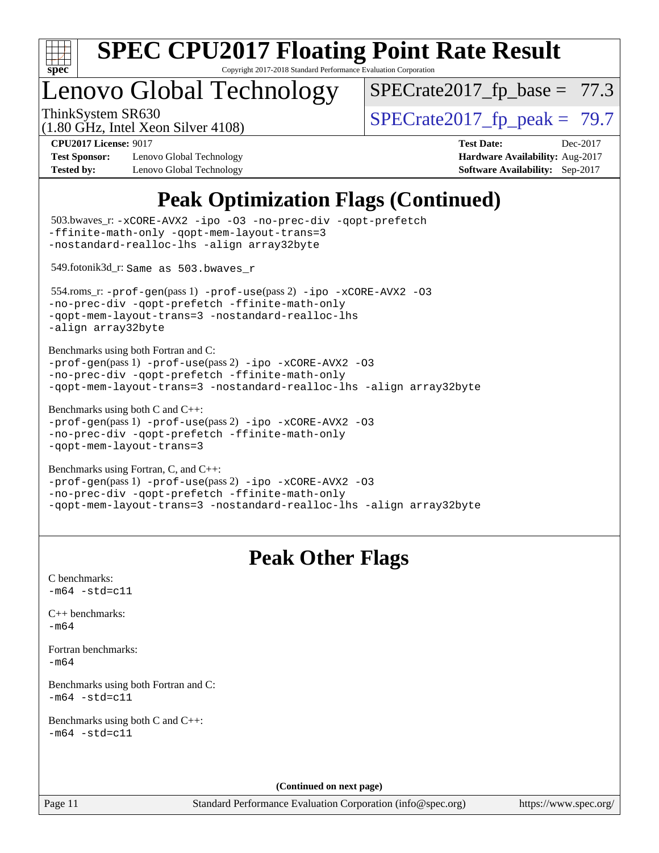

Copyright 2017-2018 Standard Performance Evaluation Corporation

### Lenovo Global Technology

 $SPECTate2017_fp\_base = 77.3$ 

(1.80 GHz, Intel Xeon Silver 4108)

ThinkSystem SR630<br>(1.80 GHz, Intel Xeon Silver 4108)  $\begin{array}{r} | \text{SPECrate2017\_fp\_peak} = 79.7 \end{array}$ 

**[Test Sponsor:](http://www.spec.org/auto/cpu2017/Docs/result-fields.html#TestSponsor)** Lenovo Global Technology **[Hardware Availability:](http://www.spec.org/auto/cpu2017/Docs/result-fields.html#HardwareAvailability)** Aug-2017 **[Tested by:](http://www.spec.org/auto/cpu2017/Docs/result-fields.html#Testedby)** Lenovo Global Technology **[Software Availability:](http://www.spec.org/auto/cpu2017/Docs/result-fields.html#SoftwareAvailability)** Sep-2017

**[CPU2017 License:](http://www.spec.org/auto/cpu2017/Docs/result-fields.html#CPU2017License)** 9017 **[Test Date:](http://www.spec.org/auto/cpu2017/Docs/result-fields.html#TestDate)** Dec-2017

### **[Peak Optimization Flags \(Continued\)](http://www.spec.org/auto/cpu2017/Docs/result-fields.html#PeakOptimizationFlags)**

```
(info@spec.org)https://www.spec.org/
  503.bwaves_r: -xCORE-AVX2 -ipo -O3 -no-prec-div -qopt-prefetch
-ffinite-math-only -qopt-mem-layout-trans=3
-nostandard-realloc-lhs -align array32byte
  549.fotonik3d_r: Same as 503.bwaves_r
  554.roms_r: -prof-gen(pass 1) -prof-use(pass 2) -ipo -xCORE-AVX2 -O3
-no-prec-div -qopt-prefetch -ffinite-math-only
-qopt-mem-layout-trans=3 -nostandard-realloc-lhs
-align array32byte
Benchmarks using both Fortran and C: 
-prof-gen(pass 1) -prof-use(pass 2) -ipo -xCORE-AVX2 -O3
-no-prec-div -qopt-prefetch -ffinite-math-only
-qopt-mem-layout-trans=3 -nostandard-realloc-lhs -align array32byte
Benchmarks using both C and C++: 
-prof-gen(pass 1) -prof-use(pass 2) -ipo -xCORE-AVX2 -O3
-no-prec-div -qopt-prefetch -ffinite-math-only
-qopt-mem-layout-trans=3
Benchmarks using Fortran, C, and C++: 
-prof-gen(pass 1) -prof-use(pass 2) -ipo -xCORE-AVX2 -O3
-no-prec-div -qopt-prefetch -ffinite-math-only
-qopt-mem-layout-trans=3 -nostandard-realloc-lhs -align array32byte
                                 Peak Other Flags
C benchmarks: 
-m64 - std= c11C++ benchmarks: 
-m64Fortran benchmarks: 
-m64
Benchmarks using both Fortran and C: 
-m64 - std= c11Benchmarks using both C and C++: 
-m64 - std= c11(Continued on next page)
```